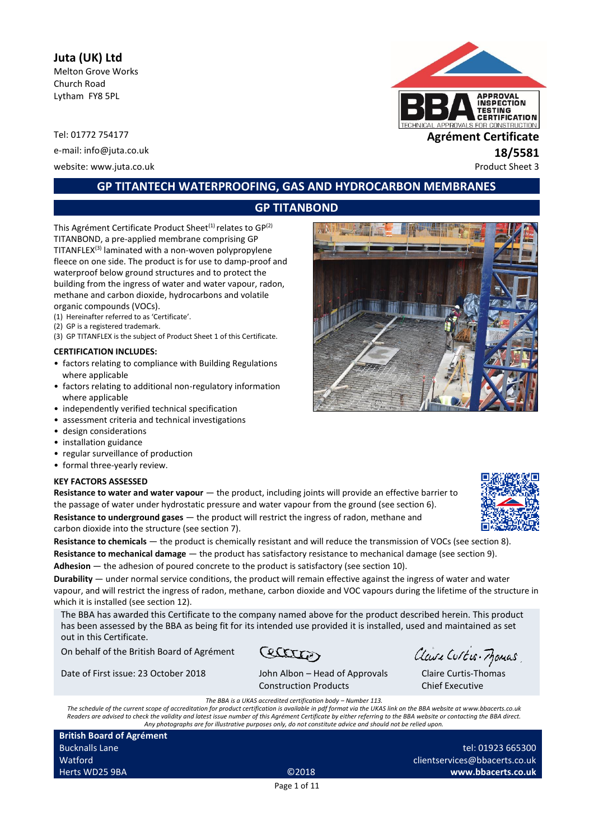# **Juta (UK) Ltd**

Melton Grove Works Church Road Lytham FY8 5PL

e-mail: info@juta.co.uk **18/5581**

website: www.juta.co.uk example 3



# **GP TITANTECH WATERPROOFING, GAS AND HYDROCARBON MEMBRANES**

# **GP TITANBOND**

This Agrément Certificate Product Sheet<sup>(1)</sup> relates to  $GP<sup>(2)</sup>$ TITANBOND, a pre-applied membrane comprising GP TITANFLEX(3) laminated with a non-woven polypropylene fleece on one side. The product is for use to damp-proof and waterproof below ground structures and to protect the building from the ingress of water and water vapour, radon, methane and carbon dioxide, hydrocarbons and volatile organic compounds (VOCs).

- (1) Hereinafter referred to as 'Certificate'.
- (2) GP is a registered trademark.
- (3) GP TITANFLEX is the subject of Product Sheet 1 of this Certificate.

#### **CERTIFICATION INCLUDES:**

- factors relating to compliance with Building Regulations where applicable
- factors relating to additional non-regulatory information where applicable
- independently verified technical specification
- assessment criteria and technical investigations
- design considerations
- installation guidance
- regular surveillance of production
- formal three-yearly review.

#### **KEY FACTORS ASSESSED**

**Resistance to water and water vapour** — the product, including joints will provide an effective barrier to the passage of water under hydrostatic pressure and water vapour from the ground (see section 6). **Resistance to underground gases** — the product will restrict the ingress of radon, methane and carbon dioxide into the structure (see section 7).

**Resistance to chemicals** — the product is chemically resistant and will reduce the transmission of VOCs (see section 8). **Resistance to mechanical damage** — the product has satisfactory resistance to mechanical damage (see section 9). **Adhesion** — the adhesion of poured concrete to the product is satisfactory (see section 10).

**Durability** — under normal service conditions, the product will remain effective against the ingress of water and water vapour, and will restrict the ingress of radon, methane, carbon dioxide and VOC vapours during the lifetime of the structure in which it is installed (see section 12).

The BBA has awarded this Certificate to the company named above for the product described herein. This product has been assessed by the BBA as being fit for its intended use provided it is installed, used and maintained as set out in this Certificate.

On behalf of the British Board of Agrément

Ceterra

Date of First issue: 23 October 2018 John Albon – Head of Approvals

| John Albon – Head of App |  |
|--------------------------|--|

Claire Curtis-Momas

Claire Curtis-Thomas Chief Executive

Construction Products *The BBA is a UKAS accredited certification body – Number 113.*

*The schedule of the current scope of accreditation for product certification is available in pdf format via the UKAS link on the BBA website at www.bbacerts.co.uk Readers are advised to check the validity and latest issue number of this Agrément Certificate by either referring to the BBA website or contacting the BBA direct. Any photographs are for illustrative purposes only, do not constitute advice and should not be relied upon.*

| <b>British Board of Agrément</b> |                   |
|----------------------------------|-------------------|
| <b>Bucknalls Lane</b>            |                   |
| Watford                          |                   |
| Herts WD25 9BA                   | C <sub>2018</sub> |

tel: 01923 665300 clientservices@bbacerts.co.uk **www.bbacerts.co.uk**

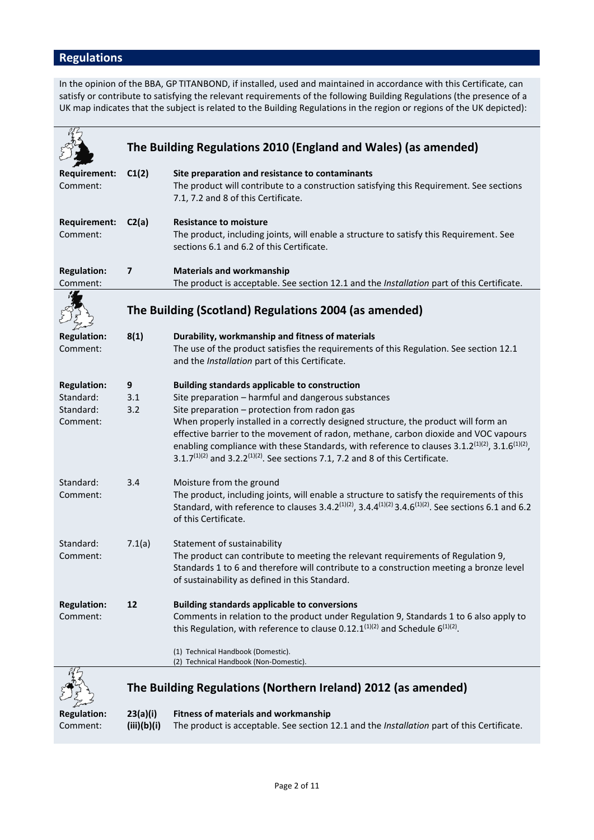# **Regulations**

In the opinion of the BBA, GP TITANBOND, if installed, used and maintained in accordance with this Certificate, can satisfy or contribute to satisfying the relevant requirements of the following Building Regulations (the presence of a UK map indicates that the subject is related to the Building Regulations in the region or regions of the UK depicted):

|                                                          |                         | The Building Regulations 2010 (England and Wales) (as amended)                                                                                                                                                                                                                                                                                                                                                                                                                                                                                                                 |
|----------------------------------------------------------|-------------------------|--------------------------------------------------------------------------------------------------------------------------------------------------------------------------------------------------------------------------------------------------------------------------------------------------------------------------------------------------------------------------------------------------------------------------------------------------------------------------------------------------------------------------------------------------------------------------------|
|                                                          |                         |                                                                                                                                                                                                                                                                                                                                                                                                                                                                                                                                                                                |
| <b>Requirement:</b><br>Comment:                          | C1(2)                   | Site preparation and resistance to contaminants<br>The product will contribute to a construction satisfying this Requirement. See sections<br>7.1, 7.2 and 8 of this Certificate.                                                                                                                                                                                                                                                                                                                                                                                              |
| <b>Requirement:</b><br>Comment:                          | C2(a)                   | <b>Resistance to moisture</b><br>The product, including joints, will enable a structure to satisfy this Requirement. See<br>sections 6.1 and 6.2 of this Certificate.                                                                                                                                                                                                                                                                                                                                                                                                          |
| <b>Regulation:</b><br>Comment:                           | 7                       | <b>Materials and workmanship</b><br>The product is acceptable. See section 12.1 and the Installation part of this Certificate.                                                                                                                                                                                                                                                                                                                                                                                                                                                 |
|                                                          |                         | The Building (Scotland) Regulations 2004 (as amended)                                                                                                                                                                                                                                                                                                                                                                                                                                                                                                                          |
| <b>Regulation:</b><br>Comment:                           | 8(1)                    | Durability, workmanship and fitness of materials<br>The use of the product satisfies the requirements of this Regulation. See section 12.1<br>and the Installation part of this Certificate.                                                                                                                                                                                                                                                                                                                                                                                   |
| <b>Regulation:</b><br>Standard:<br>Standard:<br>Comment: | 9<br>3.1<br>3.2         | <b>Building standards applicable to construction</b><br>Site preparation - harmful and dangerous substances<br>Site preparation - protection from radon gas<br>When properly installed in a correctly designed structure, the product will form an<br>effective barrier to the movement of radon, methane, carbon dioxide and VOC vapours<br>enabling compliance with these Standards, with reference to clauses 3.1.2 <sup>(1)(2)</sup> , 3.1.6 <sup>(1)(2)</sup> ,<br>3.1.7 <sup>(1)(2)</sup> and 3.2.2 <sup>(1)(2)</sup> . See sections 7.1, 7.2 and 8 of this Certificate. |
| Standard:<br>Comment:                                    | 3.4                     | Moisture from the ground<br>The product, including joints, will enable a structure to satisfy the requirements of this<br>Standard, with reference to clauses 3.4.2 <sup>(1)(2)</sup> , 3.4.4 <sup>(1)(2)</sup> 3.4.6 <sup>(1)(2)</sup> . See sections 6.1 and 6.2<br>of this Certificate.                                                                                                                                                                                                                                                                                     |
| Standard:<br>Comment:                                    | 7.1(a)                  | Statement of sustainability<br>The product can contribute to meeting the relevant requirements of Regulation 9,<br>Standards 1 to 6 and therefore will contribute to a construction meeting a bronze level<br>of sustainability as defined in this Standard.                                                                                                                                                                                                                                                                                                                   |
| <b>Regulation:</b><br>Comment:                           | 12                      | <b>Building standards applicable to conversions</b><br>Comments in relation to the product under Regulation 9, Standards 1 to 6 also apply to<br>this Regulation, with reference to clause 0.12.1 <sup>(1)(2)</sup> and Schedule $6^{(1)(2)}$ .<br>(1) Technical Handbook (Domestic).<br>(2) Technical Handbook (Non-Domestic).                                                                                                                                                                                                                                                |
|                                                          |                         |                                                                                                                                                                                                                                                                                                                                                                                                                                                                                                                                                                                |
|                                                          |                         | The Building Regulations (Northern Ireland) 2012 (as amended)                                                                                                                                                                                                                                                                                                                                                                                                                                                                                                                  |
| <b>Regulation:</b><br>Comment:                           | 23(a)(i)<br>(iii)(b)(i) | <b>Fitness of materials and workmanship</b><br>The product is acceptable. See section 12.1 and the Installation part of this Certificate.                                                                                                                                                                                                                                                                                                                                                                                                                                      |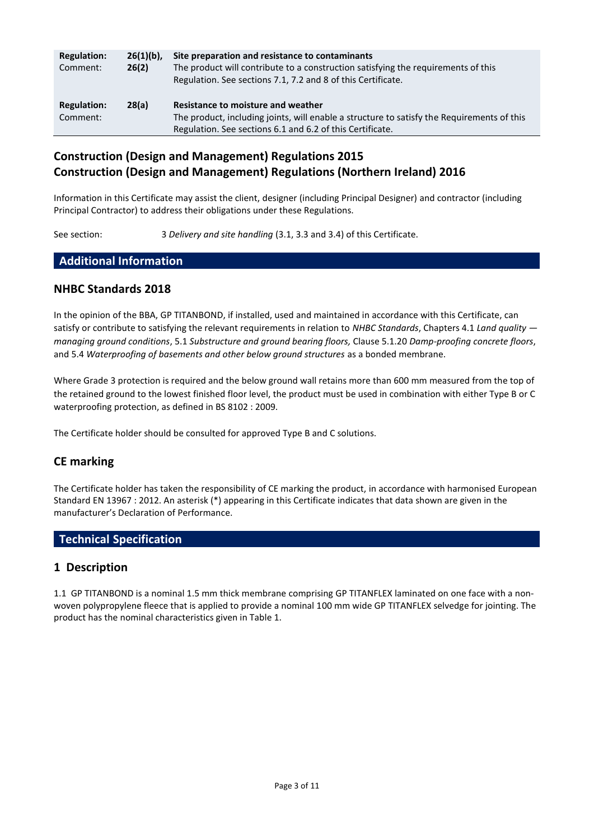| <b>Regulation:</b><br>Comment: | $26(1)(b)$ ,<br>26(2) | Site preparation and resistance to contaminants<br>The product will contribute to a construction satisfying the requirements of this<br>Regulation. See sections 7.1, 7.2 and 8 of this Certificate. |
|--------------------------------|-----------------------|------------------------------------------------------------------------------------------------------------------------------------------------------------------------------------------------------|
| <b>Regulation:</b><br>Comment: | 28(a)                 | Resistance to moisture and weather<br>The product, including joints, will enable a structure to satisfy the Requirements of this<br>Regulation. See sections 6.1 and 6.2 of this Certificate.        |

# **Construction (Design and Management) Regulations 2015 Construction (Design and Management) Regulations (Northern Ireland) 2016**

Information in this Certificate may assist the client, designer (including Principal Designer) and contractor (including Principal Contractor) to address their obligations under these Regulations.

See section: 3 *Delivery and site handling* (3.1, 3.3 and 3.4) of this Certificate.

#### **Additional Information**

#### **NHBC Standards 2018**

In the opinion of the BBA, GP TITANBOND, if installed, used and maintained in accordance with this Certificate, can satisfy or contribute to satisfying the relevant requirements in relation to *NHBC Standards*, Chapters 4.1 *Land quality managing ground conditions*, 5.1 *Substructure and ground bearing floors,* Clause 5.1.20 *Damp-proofing concrete floors*, and 5.4 *Waterproofing of basements and other below ground structures* as a bonded membrane.

Where Grade 3 protection is required and the below ground wall retains more than 600 mm measured from the top of the retained ground to the lowest finished floor level, the product must be used in combination with either Type B or C waterproofing protection, as defined in BS 8102 : 2009.

The Certificate holder should be consulted for approved Type B and C solutions.

## **CE marking**

The Certificate holder has taken the responsibility of CE marking the product, in accordance with harmonised European Standard EN 13967 : 2012. An asterisk (\*) appearing in this Certificate indicates that data shown are given in the manufacturer's Declaration of Performance.

## **Technical Specification**

#### **1 Description**

1.1 GP TITANBOND is a nominal 1.5 mm thick membrane comprising GP TITANFLEX laminated on one face with a nonwoven polypropylene fleece that is applied to provide a nominal 100 mm wide GP TITANFLEX selvedge for jointing. The product has the nominal characteristics given in Table 1.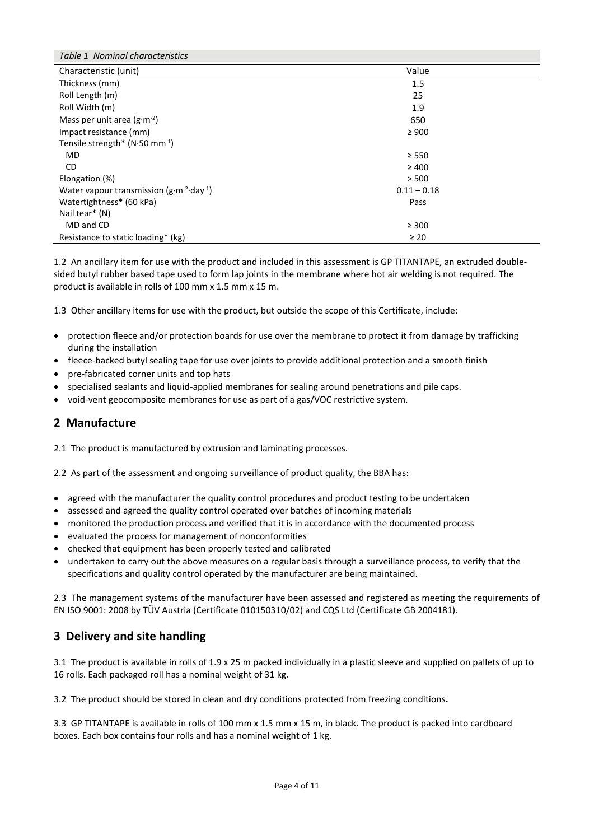| Table 1 Nominal characteristics                             |               |  |
|-------------------------------------------------------------|---------------|--|
| Characteristic (unit)                                       | Value         |  |
| Thickness (mm)                                              | 1.5           |  |
| Roll Length (m)                                             | 25            |  |
| Roll Width (m)                                              | 1.9           |  |
| Mass per unit area $(g \cdot m^{-2})$                       | 650           |  |
| Impact resistance (mm)                                      | $\geq 900$    |  |
| Tensile strength* $(N.50 \text{ mm}^{-1})$                  |               |  |
| MD.                                                         | $\geq$ 550    |  |
| CD.                                                         | $\geq 400$    |  |
| Elongation (%)                                              | > 500         |  |
| Water vapour transmission $(g \cdot m^{-2} \cdot day^{-1})$ | $0.11 - 0.18$ |  |
| Watertightness* (60 kPa)                                    | Pass          |  |
| Nail tear* (N)                                              |               |  |
| MD and CD                                                   | $\geq 300$    |  |
| Resistance to static loading* (kg)                          | $\geq 20$     |  |

1.2 An ancillary item for use with the product and included in this assessment is GP TITANTAPE, an extruded doublesided butyl rubber based tape used to form lap joints in the membrane where hot air welding is not required. The product is available in rolls of 100 mm x 1.5 mm x 15 m.

1.3 Other ancillary items for use with the product, but outside the scope of this Certificate, include:

- protection fleece and/or protection boards for use over the membrane to protect it from damage by trafficking during the installation
- fleece-backed butyl sealing tape for use over joints to provide additional protection and a smooth finish
- pre-fabricated corner units and top hats
- specialised sealants and liquid-applied membranes for sealing around penetrations and pile caps.
- void-vent geocomposite membranes for use as part of a gas/VOC restrictive system.

## **2 Manufacture**

2.1 The product is manufactured by extrusion and laminating processes.

2.2 As part of the assessment and ongoing surveillance of product quality, the BBA has:

- agreed with the manufacturer the quality control procedures and product testing to be undertaken
- assessed and agreed the quality control operated over batches of incoming materials
- monitored the production process and verified that it is in accordance with the documented process
- evaluated the process for management of nonconformities
- checked that equipment has been properly tested and calibrated
- undertaken to carry out the above measures on a regular basis through a surveillance process, to verify that the specifications and quality control operated by the manufacturer are being maintained.

2.3 The management systems of the manufacturer have been assessed and registered as meeting the requirements of EN ISO 9001: 2008 by TÜV Austria (Certificate 010150310/02) and CQS Ltd (Certificate GB 2004181).

# **3 Delivery and site handling**

3.1 The product is available in rolls of 1.9 x 25 m packed individually in a plastic sleeve and supplied on pallets of up to 16 rolls. Each packaged roll has a nominal weight of 31 kg.

3.2 The product should be stored in clean and dry conditions protected from freezing conditions**.**

3.3 GP TITANTAPE is available in rolls of 100 mm x 1.5 mm x 15 m, in black. The product is packed into cardboard boxes. Each box contains four rolls and has a nominal weight of 1 kg.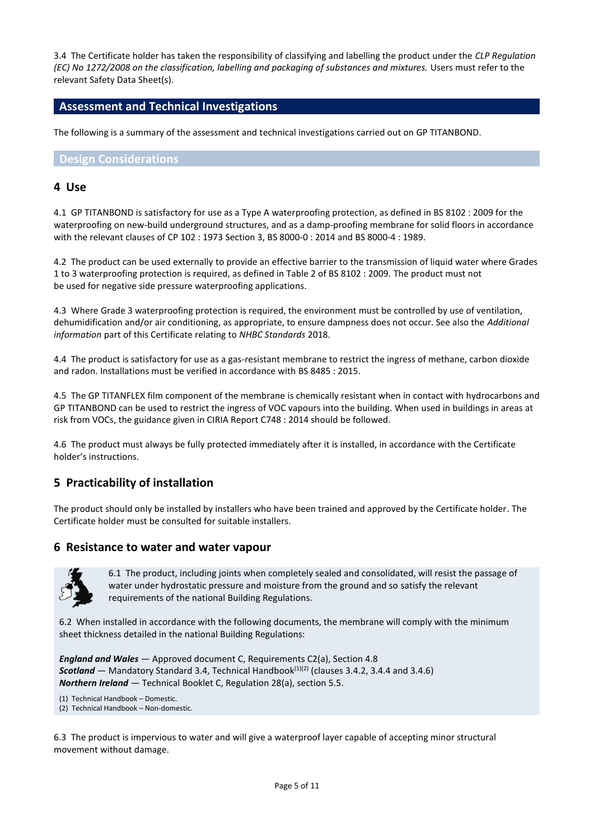3.4 The Certificate holder has taken the responsibility of classifying and labelling the product under the *CLP Regulation (EC) No 1272/2008 on the classification, labelling and packaging of substances and mixtures.* Users must refer to the relevant Safety Data Sheet(s).

#### **Assessment and Technical Investigations**

The following is a summary of the assessment and technical investigations carried out on GP TITANBOND.

#### **Design Considerations**

#### **4 Use**

4.1 GP TITANBOND is satisfactory for use as a Type A waterproofing protection, as defined in BS 8102 : 2009 for the waterproofing on new-build underground structures, and as a damp-proofing membrane for solid floors in accordance with the relevant clauses of CP 102 : 1973 Section 3, BS 8000-0 : 2014 and BS 8000-4 : 1989.

4.2 The product can be used externally to provide an effective barrier to the transmission of liquid water where Grades 1 to 3 waterproofing protection is required, as defined in Table 2 of BS 8102 : 2009. The product must not be used for negative side pressure waterproofing applications.

4.3 Where Grade 3 waterproofing protection is required, the environment must be controlled by use of ventilation, dehumidification and/or air conditioning, as appropriate, to ensure dampness does not occur. See also the *Additional information* part of this Certificate relating to *NHBC Standards* 2018.

4.4 The product is satisfactory for use as a gas-resistant membrane to restrict the ingress of methane, carbon dioxide and radon. Installations must be verified in accordance with BS 8485 : 2015.

4.5 The GP TITANFLEX film component of the membrane is chemically resistant when in contact with hydrocarbons and GP TITANBOND can be used to restrict the ingress of VOC vapours into the building. When used in buildings in areas at risk from VOCs, the guidance given in CIRIA Report C748 : 2014 should be followed.

4.6 The product must always be fully protected immediately after it is installed, in accordance with the Certificate holder's instructions.

# **5 Practicability of installation**

The product should only be installed by installers who have been trained and approved by the Certificate holder. The Certificate holder must be consulted for suitable installers.

#### **6 Resistance to water and water vapour**



6.1 The product, including joints when completely sealed and consolidated, will resist the passage of water under hydrostatic pressure and moisture from the ground and so satisfy the relevant requirements of the national Building Regulations.

6.2 When installed in accordance with the following documents, the membrane will comply with the minimum sheet thickness detailed in the national Building Regulations:

*England and Wales* — Approved document C, Requirements C2(a), Section 4.8 **Scotland** — Mandatory Standard 3.4, Technical Handbook<sup>(1)(2)</sup> (clauses 3.4.2, 3.4.4 and 3.4.6) *Northern Ireland* — Technical Booklet C, Regulation 28(a), section 5.5.

- (1) Technical Handbook Domestic.
- (2) Technical Handbook Non-domestic.

6.3 The product is impervious to water and will give a waterproof layer capable of accepting minor structural movement without damage.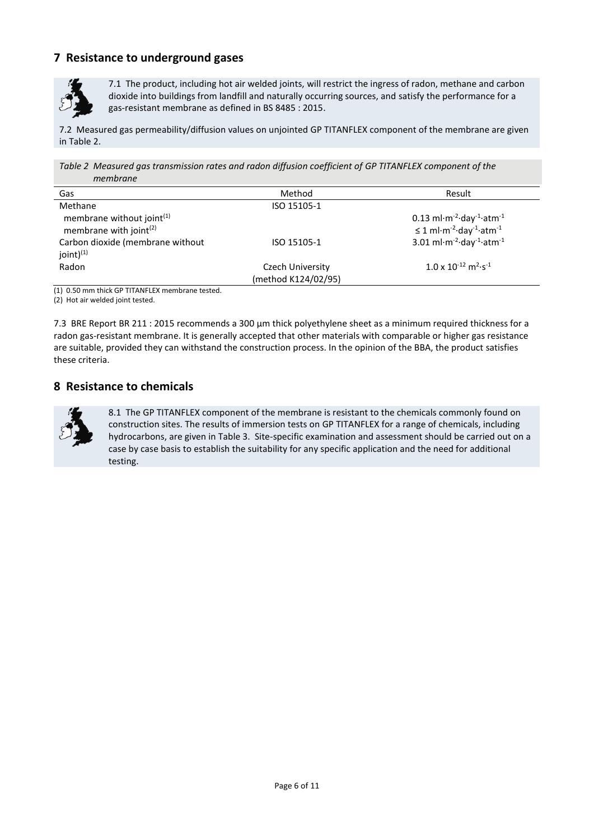# **7 Resistance to underground gases**



7.1 The product, including hot air welded joints, will restrict the ingress of radon, methane and carbon dioxide into buildings from landfill and naturally occurring sources, and satisfy the performance for a gas-resistant membrane as defined in BS 8485 : 2015.

7.2 Measured gas permeability/diffusion values on unjointed GP TITANFLEX component of the membrane are given in Table 2.

*Table 2 Measured gas transmission rates and radon diffusion coefficient of GP TITANFLEX component of the membrane*

| Gas                              | Method              | Result                                                                                |
|----------------------------------|---------------------|---------------------------------------------------------------------------------------|
| Methane                          | ISO 15105-1         |                                                                                       |
| membrane without joint $(1)$     |                     | $0.13$ ml $\cdot$ m <sup>-2</sup> $\cdot$ day <sup>-1</sup> $\cdot$ atm <sup>-1</sup> |
| membrane with joint $(2)$        |                     | $\leq$ 1 ml·m <sup>-2</sup> ·day <sup>-1</sup> ·atm <sup>-1</sup>                     |
| Carbon dioxide (membrane without | ISO 15105-1         | 3.01 ml $\cdot$ m <sup>-2</sup> $\cdot$ day <sup>-1</sup> $\cdot$ atm <sup>-1</sup>   |
| joint $)^{(1)}$                  |                     |                                                                                       |
| Radon                            | Czech University    | $1.0 \times 10^{-12}$ m <sup>2</sup> ·s <sup>-1</sup>                                 |
|                                  | (method K124/02/95) |                                                                                       |

(1) 0.50 mm thick GP TITANFLEX membrane tested.

(2) Hot air welded joint tested.

7.3 BRE Report BR 211 : 2015 recommends a 300 μm thick polyethylene sheet as a minimum required thickness for a radon gas-resistant membrane. It is generally accepted that other materials with comparable or higher gas resistance are suitable, provided they can withstand the construction process. In the opinion of the BBA, the product satisfies these criteria.

## **8 Resistance to chemicals**



8.1 The GP TITANFLEX component of the membrane is resistant to the chemicals commonly found on construction sites. The results of immersion tests on GP TITANFLEX for a range of chemicals, including hydrocarbons, are given in Table 3. Site-specific examination and assessment should be carried out on a case by case basis to establish the suitability for any specific application and the need for additional testing.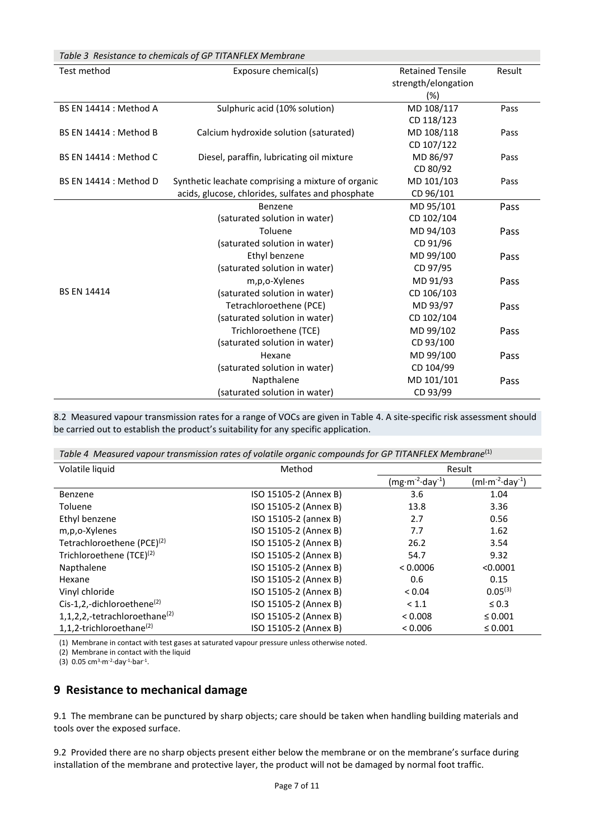| Table 3 Resistance to chemicals of GP TITANFLEX Membrane |                                                    |                         |        |
|----------------------------------------------------------|----------------------------------------------------|-------------------------|--------|
| Test method                                              | Exposure chemical(s)                               | <b>Retained Tensile</b> | Result |
|                                                          |                                                    | strength/elongation     |        |
|                                                          |                                                    | $(\%)$                  |        |
| BS EN 14414 : Method A                                   | Sulphuric acid (10% solution)                      | MD 108/117              | Pass   |
|                                                          |                                                    | CD 118/123              |        |
| BS EN 14414 : Method B                                   | Calcium hydroxide solution (saturated)             | MD 108/118              | Pass   |
|                                                          |                                                    | CD 107/122              |        |
| <b>BS EN 14414 : Method C</b>                            | Diesel, paraffin, lubricating oil mixture          | MD 86/97                | Pass   |
|                                                          |                                                    | CD 80/92                |        |
| BS EN 14414 : Method D                                   | Synthetic leachate comprising a mixture of organic | MD 101/103              | Pass   |
|                                                          | acids, glucose, chlorides, sulfates and phosphate  | CD 96/101               |        |
|                                                          | Benzene                                            | MD 95/101               | Pass   |
|                                                          | (saturated solution in water)                      | CD 102/104              |        |
|                                                          | Toluene                                            | MD 94/103               | Pass   |
|                                                          | (saturated solution in water)                      | CD 91/96                |        |
|                                                          | Ethyl benzene                                      | MD 99/100               | Pass   |
|                                                          | (saturated solution in water)                      | CD 97/95                |        |
|                                                          | m,p,o-Xylenes                                      | MD 91/93                | Pass   |
| <b>BS EN 14414</b>                                       | (saturated solution in water)                      | CD 106/103              |        |
|                                                          | Tetrachloroethene (PCE)                            | MD 93/97                | Pass   |
|                                                          | (saturated solution in water)                      | CD 102/104              |        |
|                                                          | Trichloroethene (TCE)                              | MD 99/102               | Pass   |
|                                                          | (saturated solution in water)                      | CD 93/100               |        |
|                                                          | Hexane                                             | MD 99/100               | Pass   |
|                                                          | (saturated solution in water)                      | CD 104/99               |        |
|                                                          | Napthalene                                         | MD 101/101              | Pass   |
|                                                          | (saturated solution in water)                      | CD 93/99                |        |

8.2 Measured vapour transmission rates for a range of VOCs are given in Table 4. A site-specific risk assessment should be carried out to establish the product's suitability for any specific application.

*Table 4 Measured vapour transmission rates of volatile organic compounds for GP TITANFLEX Membrane*(1)

| Volatile liquid                           | Method                | Result           |                  |
|-------------------------------------------|-----------------------|------------------|------------------|
|                                           |                       | $(mg·m-2·day-1)$ | $(ml·m-2·day-1)$ |
| Benzene                                   | ISO 15105-2 (Annex B) | 3.6              | 1.04             |
| Toluene                                   | ISO 15105-2 (Annex B) | 13.8             | 3.36             |
| Ethyl benzene                             | ISO 15105-2 (annex B) | 2.7              | 0.56             |
| m,p,o-Xylenes                             | ISO 15105-2 (Annex B) | 7.7              | 1.62             |
| Tetrachloroethene (PCE) <sup>(2)</sup>    | ISO 15105-2 (Annex B) | 26.2             | 3.54             |
| Trichloroethene (TCE) <sup>(2)</sup>      | ISO 15105-2 (Annex B) | 54.7             | 9.32             |
| Napthalene                                | ISO 15105-2 (Annex B) | < 0.0006         | < 0.0001         |
| Hexane                                    | ISO 15105-2 (Annex B) | 0.6              | 0.15             |
| Vinyl chloride                            | ISO 15105-2 (Annex B) | < 0.04           | $0.05^{(3)}$     |
| Cis-1,2,-dichloroethene $^{(2)}$          | ISO 15105-2 (Annex B) | < 1.1            | $\leq 0.3$       |
| 1,1,2,2,-tetrachloroethane <sup>(2)</sup> | ISO 15105-2 (Annex B) | < 0.008          | $\leq 0.001$     |
| 1,1,2-trichloroethane $^{(2)}$            | ISO 15105-2 (Annex B) | < 0.006          | $\leq 0.001$     |

(1) Membrane in contact with test gases at saturated vapour pressure unless otherwise noted.

(2) Membrane in contact with the liquid

 $(3)$  0.05 cm<sup>3</sup>·m<sup>-2</sup>·day<sup>-1</sup>·bar<sup>-1</sup>.

# **9 Resistance to mechanical damage**

9.1 The membrane can be punctured by sharp objects; care should be taken when handling building materials and tools over the exposed surface.

9.2 Provided there are no sharp objects present either below the membrane or on the membrane's surface during installation of the membrane and protective layer, the product will not be damaged by normal foot traffic.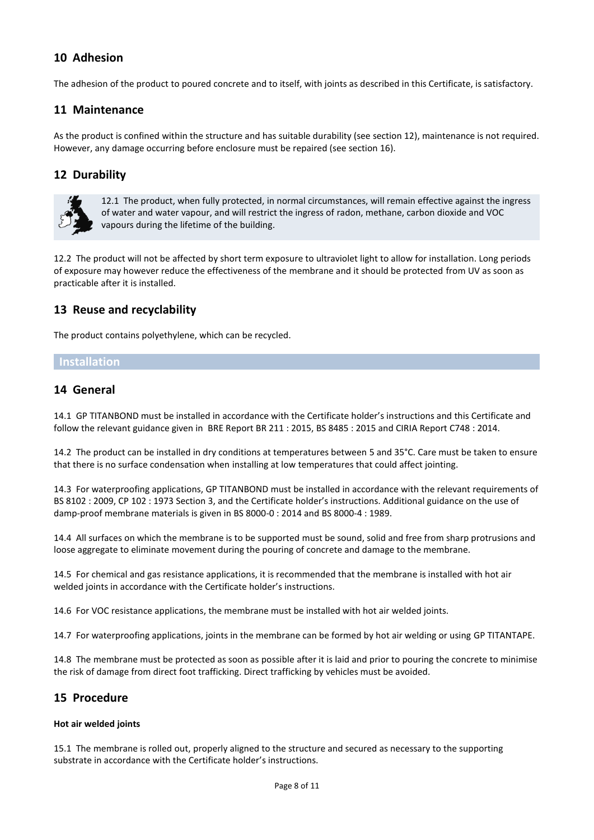# **10 Adhesion**

The adhesion of the product to poured concrete and to itself, with joints as described in this Certificate, is satisfactory.

## **11 Maintenance**

As the product is confined within the structure and has suitable durability (see section 12), maintenance is not required. However, any damage occurring before enclosure must be repaired (see section 16).

## **12 Durability**



12.1 The product, when fully protected, in normal circumstances, will remain effective against the ingress of water and water vapour, and will restrict the ingress of radon, methane, carbon dioxide and VOC vapours during the lifetime of the building.

12.2 The product will not be affected by short term exposure to ultraviolet light to allow for installation. Long periods of exposure may however reduce the effectiveness of the membrane and it should be protected from UV as soon as practicable after it is installed.

# **13 Reuse and recyclability**

The product contains polyethylene, which can be recycled.

#### **Installation**

## **14 General**

14.1 GP TITANBOND must be installed in accordance with the Certificate holder's instructions and this Certificate and follow the relevant guidance given in BRE Report BR 211 : 2015, BS 8485 : 2015 and CIRIA Report C748 : 2014.

14.2 The product can be installed in dry conditions at temperatures between 5 and 35°C. Care must be taken to ensure that there is no surface condensation when installing at low temperatures that could affect jointing.

14.3 For waterproofing applications, GP TITANBOND must be installed in accordance with the relevant requirements of BS 8102 : 2009, CP 102 : 1973 Section 3, and the Certificate holder's instructions. Additional guidance on the use of damp-proof membrane materials is given in BS 8000-0 : 2014 and BS 8000-4 : 1989.

14.4 All surfaces on which the membrane is to be supported must be sound, solid and free from sharp protrusions and loose aggregate to eliminate movement during the pouring of concrete and damage to the membrane.

14.5 For chemical and gas resistance applications, it is recommended that the membrane is installed with hot air welded joints in accordance with the Certificate holder's instructions.

14.6 For VOC resistance applications, the membrane must be installed with hot air welded joints.

14.7 For waterproofing applications, joints in the membrane can be formed by hot air welding or using GP TITANTAPE.

14.8 The membrane must be protected as soon as possible after it is laid and prior to pouring the concrete to minimise the risk of damage from direct foot trafficking. Direct trafficking by vehicles must be avoided.

## **15 Procedure**

#### **Hot air welded joints**

15.1 The membrane is rolled out, properly aligned to the structure and secured as necessary to the supporting substrate in accordance with the Certificate holder's instructions.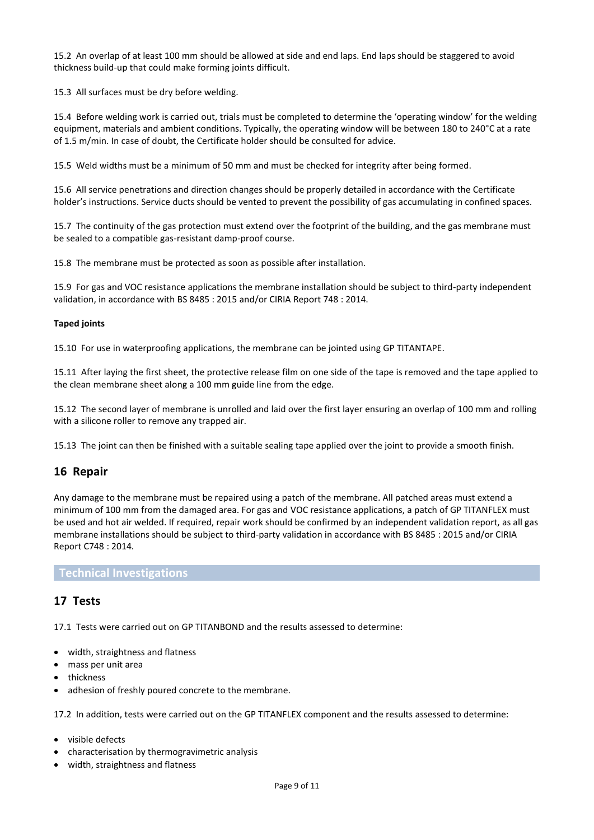15.2 An overlap of at least 100 mm should be allowed at side and end laps. End laps should be staggered to avoid thickness build-up that could make forming joints difficult.

15.3 All surfaces must be dry before welding.

15.4 Before welding work is carried out, trials must be completed to determine the 'operating window' for the welding equipment, materials and ambient conditions. Typically, the operating window will be between 180 to 240°C at a rate of 1.5 m/min. In case of doubt, the Certificate holder should be consulted for advice.

15.5 Weld widths must be a minimum of 50 mm and must be checked for integrity after being formed.

15.6 All service penetrations and direction changes should be properly detailed in accordance with the Certificate holder's instructions. Service ducts should be vented to prevent the possibility of gas accumulating in confined spaces.

15.7 The continuity of the gas protection must extend over the footprint of the building, and the gas membrane must be sealed to a compatible gas-resistant damp-proof course.

15.8 The membrane must be protected as soon as possible after installation.

15.9 For gas and VOC resistance applications the membrane installation should be subject to third-party independent validation, in accordance with BS 8485 : 2015 and/or CIRIA Report 748 : 2014.

#### **Taped joints**

15.10 For use in waterproofing applications, the membrane can be jointed using GP TITANTAPE.

15.11 After laying the first sheet, the protective release film on one side of the tape is removed and the tape applied to the clean membrane sheet along a 100 mm guide line from the edge.

15.12 The second layer of membrane is unrolled and laid over the first layer ensuring an overlap of 100 mm and rolling with a silicone roller to remove any trapped air.

15.13 The joint can then be finished with a suitable sealing tape applied over the joint to provide a smooth finish.

#### **16 Repair**

Any damage to the membrane must be repaired using a patch of the membrane. All patched areas must extend a minimum of 100 mm from the damaged area. For gas and VOC resistance applications, a patch of GP TITANFLEX must be used and hot air welded. If required, repair work should be confirmed by an independent validation report, as all gas membrane installations should be subject to third-party validation in accordance with BS 8485 : 2015 and/or CIRIA Report C748 : 2014.

#### **Technical Investigations**

#### **17 Tests**

17.1 Tests were carried out on GP TITANBOND and the results assessed to determine:

- width, straightness and flatness
- mass per unit area
- thickness
- adhesion of freshly poured concrete to the membrane.

17.2 In addition, tests were carried out on the GP TITANFLEX component and the results assessed to determine:

- visible defects
- characterisation by thermogravimetric analysis
- width, straightness and flatness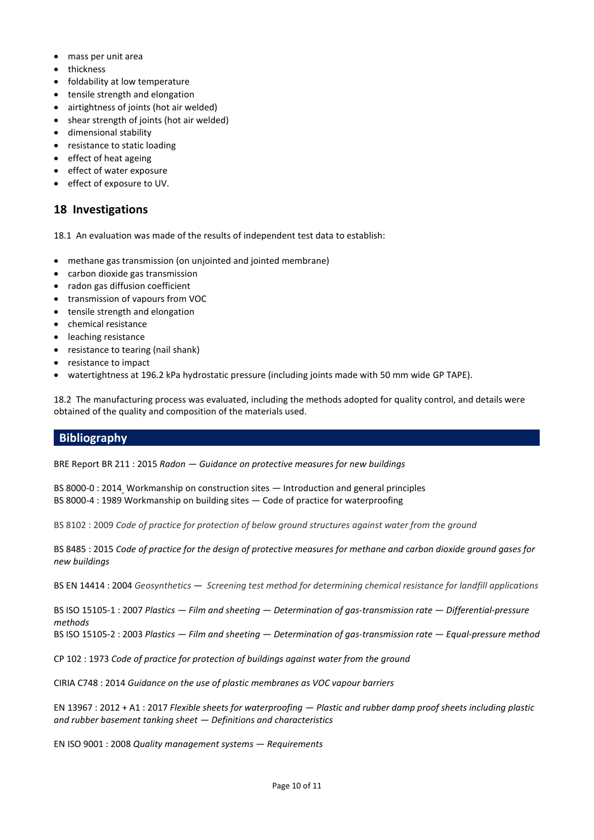- mass per unit area
- thickness
- foldability at low temperature
- tensile strength and elongation
- airtightness of joints (hot air welded)
- shear strength of joints (hot air welded)
- dimensional stability
- resistance to static loading
- effect of heat ageing
- effect of water exposure
- effect of exposure to UV.

## **18 Investigations**

18.1 An evaluation was made of the results of independent test data to establish:

- methane gas transmission (on unjointed and jointed membrane)
- carbon dioxide gas transmission
- radon gas diffusion coefficient
- transmission of vapours from VOC
- tensile strength and elongation
- chemical resistance
- leaching resistance
- resistance to tearing (nail shank)
- resistance to impact
- watertightness at 196.2 kPa hydrostatic pressure (including joints made with 50 mm wide GP TAPE).

18.2 The manufacturing process was evaluated, including the methods adopted for quality control, and details were obtained of the quality and composition of the materials used.

## **Bibliography**

BRE Report BR 211 : 2015 *Radon — Guidance on protective measures for new buildings*

[BS 8000-0 : 2014](https://shop.bsigroup.com/ProductDetail?pid=000000000030275705) Workmanship on construction sites *—* Introduction and general principles BS 8000-4 : 1989 Workmanship on building sites — Code of practice for waterproofing

BS 8102 : 2009 *Code of practice for protection of below ground structures against water from the ground*

BS 8485 : 2015 *Code of practice for the design of protective measures for methane and carbon dioxide ground gases for new buildings*

BS EN 14414 : 2004 *Geosynthetics — [Screening test method for determining chemical resistance for landfill applications](https://shop.bsigroup.com/ProductDetail?pid=000000000030324202)*

BS ISO 15105-1 : 2007 *Plastics — Film and sheeting — Determination of gas-transmission rate — Differential-pressure methods*

BS ISO 15105-2 : 2003 *Plastics — Film and sheeting — Determination of gas-transmission rate — Equal-pressure method*

CP 102 : 1973 *Code of practice for protection of buildings against water from the ground*

CIRIA C748 : 2014 *Guidance on the use of plastic membranes as VOC vapour barriers*

EN 13967 : 2012 + A1 : 2017 *Flexible sheets for waterproofing — Plastic and rubber damp proof sheets including plastic and rubber basement tanking sheet — Definitions and characteristics*

EN ISO 9001 : 2008 *Quality management systems — Requirements*